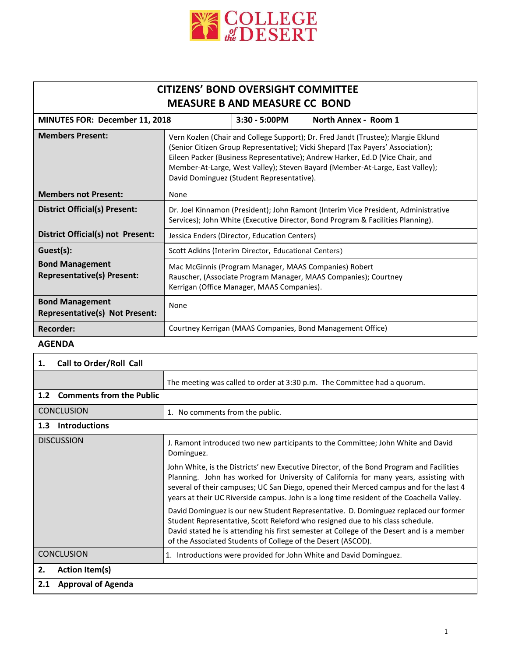

## **CITIZENS' BOND OVERSIGHT COMMITTEE MEASURE B AND MEASURE CC BOND**

| <b>MINUTES FOR: December 11, 2018</b>                           |                                                                                                                                                                                                                                                                                                                                                                                   | $3:30 - 5:00$ PM                                                                                                                                                       | North Annex - Room 1                                       |  |
|-----------------------------------------------------------------|-----------------------------------------------------------------------------------------------------------------------------------------------------------------------------------------------------------------------------------------------------------------------------------------------------------------------------------------------------------------------------------|------------------------------------------------------------------------------------------------------------------------------------------------------------------------|------------------------------------------------------------|--|
| <b>Members Present:</b>                                         | Vern Kozlen (Chair and College Support); Dr. Fred Jandt (Trustee); Margie Eklund<br>(Senior Citizen Group Representative); Vicki Shepard (Tax Payers' Association);<br>Eileen Packer (Business Representative); Andrew Harker, Ed.D (Vice Chair, and<br>Member-At-Large, West Valley); Steven Bayard (Member-At-Large, East Valley);<br>David Dominguez (Student Representative). |                                                                                                                                                                        |                                                            |  |
| <b>Members not Present:</b>                                     | None                                                                                                                                                                                                                                                                                                                                                                              |                                                                                                                                                                        |                                                            |  |
| District Official(s) Present:                                   | Dr. Joel Kinnamon (President); John Ramont (Interim Vice President, Administrative<br>Services); John White (Executive Director, Bond Program & Facilities Planning).                                                                                                                                                                                                             |                                                                                                                                                                        |                                                            |  |
| District Official(s) not Present:                               | Jessica Enders (Director, Education Centers)                                                                                                                                                                                                                                                                                                                                      |                                                                                                                                                                        |                                                            |  |
| Guest(s):                                                       | Scott Adkins (Interim Director, Educational Centers)                                                                                                                                                                                                                                                                                                                              |                                                                                                                                                                        |                                                            |  |
| <b>Bond Management</b><br><b>Representative(s) Present:</b>     |                                                                                                                                                                                                                                                                                                                                                                                   | Mac McGinnis (Program Manager, MAAS Companies) Robert<br>Rauscher, (Associate Program Manager, MAAS Companies); Courtney<br>Kerrigan (Office Manager, MAAS Companies). |                                                            |  |
| <b>Bond Management</b><br><b>Representative(s) Not Present:</b> | None                                                                                                                                                                                                                                                                                                                                                                              |                                                                                                                                                                        |                                                            |  |
| <b>Recorder:</b>                                                |                                                                                                                                                                                                                                                                                                                                                                                   |                                                                                                                                                                        | Courtney Kerrigan (MAAS Companies, Bond Management Office) |  |

## **AGENDA**

| Call to Order/Roll Call<br>1.                       |                                                                                                                                                                                                                                                                                                                                                                          |  |  |  |
|-----------------------------------------------------|--------------------------------------------------------------------------------------------------------------------------------------------------------------------------------------------------------------------------------------------------------------------------------------------------------------------------------------------------------------------------|--|--|--|
|                                                     | The meeting was called to order at 3:30 p.m. The Committee had a quorum.                                                                                                                                                                                                                                                                                                 |  |  |  |
| <b>Comments from the Public</b><br>1.2 <sub>2</sub> |                                                                                                                                                                                                                                                                                                                                                                          |  |  |  |
| <b>CONCLUSION</b>                                   | 1. No comments from the public.                                                                                                                                                                                                                                                                                                                                          |  |  |  |
| <b>Introductions</b><br>1.3 <sub>1</sub>            |                                                                                                                                                                                                                                                                                                                                                                          |  |  |  |
| <b>DISCUSSION</b>                                   | J. Ramont introduced two new participants to the Committee; John White and David<br>Dominguez.                                                                                                                                                                                                                                                                           |  |  |  |
|                                                     | John White, is the Districts' new Executive Director, of the Bond Program and Facilities<br>Planning. John has worked for University of California for many years, assisting with<br>several of their campuses; UC San Diego, opened their Merced campus and for the last 4<br>years at their UC Riverside campus. John is a long time resident of the Coachella Valley. |  |  |  |
|                                                     | David Dominguez is our new Student Representative. D. Dominguez replaced our former<br>Student Representative, Scott Releford who resigned due to his class schedule.<br>David stated he is attending his first semester at College of the Desert and is a member<br>of the Associated Students of College of the Desert (ASCOD).                                        |  |  |  |
| <b>CONCLUSION</b>                                   | Introductions were provided for John White and David Dominguez.<br>1.                                                                                                                                                                                                                                                                                                    |  |  |  |
| <b>Action Item(s)</b><br>2.                         |                                                                                                                                                                                                                                                                                                                                                                          |  |  |  |
| <b>Approval of Agenda</b><br>2.1                    |                                                                                                                                                                                                                                                                                                                                                                          |  |  |  |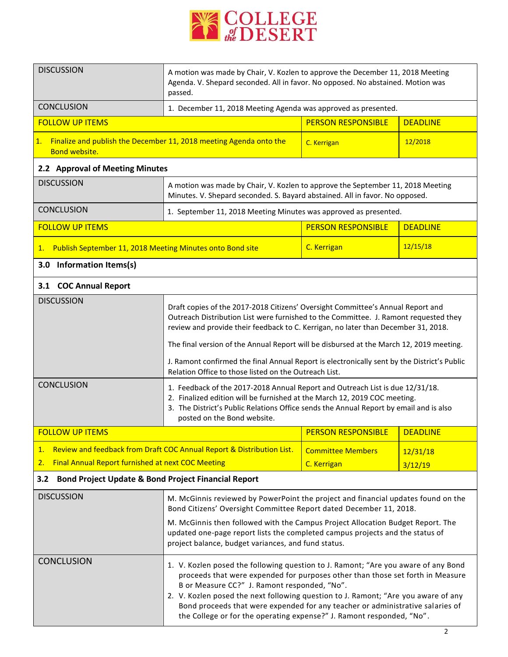

| <b>DISCUSSION</b>                                                                                                                                                                                                      | A motion was made by Chair, V. Kozlen to approve the December 11, 2018 Meeting<br>Agenda. V. Shepard seconded. All in favor. No opposed. No abstained. Motion was<br>passed.                                                                                                                                                                                                                                                                                                                                                                                                                                                                                                                     |                                         |                     |  |  |  |
|------------------------------------------------------------------------------------------------------------------------------------------------------------------------------------------------------------------------|--------------------------------------------------------------------------------------------------------------------------------------------------------------------------------------------------------------------------------------------------------------------------------------------------------------------------------------------------------------------------------------------------------------------------------------------------------------------------------------------------------------------------------------------------------------------------------------------------------------------------------------------------------------------------------------------------|-----------------------------------------|---------------------|--|--|--|
| <b>CONCLUSION</b>                                                                                                                                                                                                      | 1. December 11, 2018 Meeting Agenda was approved as presented.                                                                                                                                                                                                                                                                                                                                                                                                                                                                                                                                                                                                                                   |                                         |                     |  |  |  |
| <b>FOLLOW UP ITEMS</b>                                                                                                                                                                                                 |                                                                                                                                                                                                                                                                                                                                                                                                                                                                                                                                                                                                                                                                                                  | <b>PERSON RESPONSIBLE</b>               | <b>DEADLINE</b>     |  |  |  |
| 1.<br>Finalize and publish the December 11, 2018 meeting Agenda onto the<br><b>Bond website.</b>                                                                                                                       |                                                                                                                                                                                                                                                                                                                                                                                                                                                                                                                                                                                                                                                                                                  | C. Kerrigan                             | 12/2018             |  |  |  |
|                                                                                                                                                                                                                        | 2.2 Approval of Meeting Minutes                                                                                                                                                                                                                                                                                                                                                                                                                                                                                                                                                                                                                                                                  |                                         |                     |  |  |  |
| <b>DISCUSSION</b>                                                                                                                                                                                                      | A motion was made by Chair, V. Kozlen to approve the September 11, 2018 Meeting<br>Minutes. V. Shepard seconded. S. Bayard abstained. All in favor. No opposed.                                                                                                                                                                                                                                                                                                                                                                                                                                                                                                                                  |                                         |                     |  |  |  |
| <b>CONCLUSION</b>                                                                                                                                                                                                      | 1. September 11, 2018 Meeting Minutes was approved as presented.                                                                                                                                                                                                                                                                                                                                                                                                                                                                                                                                                                                                                                 |                                         |                     |  |  |  |
| <b>FOLLOW UP ITEMS</b>                                                                                                                                                                                                 |                                                                                                                                                                                                                                                                                                                                                                                                                                                                                                                                                                                                                                                                                                  | <b>PERSON RESPONSIBLE</b>               | <b>DEADLINE</b>     |  |  |  |
| Publish September 11, 2018 Meeting Minutes onto Bond site<br><u>1.</u>                                                                                                                                                 |                                                                                                                                                                                                                                                                                                                                                                                                                                                                                                                                                                                                                                                                                                  | C. Kerrigan                             | 12/15/18            |  |  |  |
| 3.0 Information Items(s)                                                                                                                                                                                               |                                                                                                                                                                                                                                                                                                                                                                                                                                                                                                                                                                                                                                                                                                  |                                         |                     |  |  |  |
| 3.1 COC Annual Report                                                                                                                                                                                                  |                                                                                                                                                                                                                                                                                                                                                                                                                                                                                                                                                                                                                                                                                                  |                                         |                     |  |  |  |
| <b>DISCUSSION</b>                                                                                                                                                                                                      | Draft copies of the 2017-2018 Citizens' Oversight Committee's Annual Report and<br>Outreach Distribution List were furnished to the Committee. J. Ramont requested they<br>review and provide their feedback to C. Kerrigan, no later than December 31, 2018.<br>The final version of the Annual Report will be disbursed at the March 12, 2019 meeting.<br>J. Ramont confirmed the final Annual Report is electronically sent by the District's Public                                                                                                                                                                                                                                          |                                         |                     |  |  |  |
| <b>CONCLUSION</b>                                                                                                                                                                                                      | Relation Office to those listed on the Outreach List.<br>1. Feedback of the 2017-2018 Annual Report and Outreach List is due 12/31/18.<br>2. Finalized edition will be furnished at the March 12, 2019 COC meeting.<br>3. The District's Public Relations Office sends the Annual Report by email and is also<br>posted on the Bond website.                                                                                                                                                                                                                                                                                                                                                     |                                         |                     |  |  |  |
| <b>FOLLOW UP ITEMS</b>                                                                                                                                                                                                 |                                                                                                                                                                                                                                                                                                                                                                                                                                                                                                                                                                                                                                                                                                  | <b>PERSON RESPONSIBLE</b>               | <b>DEADLINE</b>     |  |  |  |
| Review and feedback from Draft COC Annual Report & Distribution List.<br>1.<br><b>Final Annual Report furnished at next COC Meeting</b><br>2.<br><b>Bond Project Update &amp; Bond Project Financial Report</b><br>3.2 |                                                                                                                                                                                                                                                                                                                                                                                                                                                                                                                                                                                                                                                                                                  | <b>Committee Members</b><br>C. Kerrigan | 12/31/18<br>3/12/19 |  |  |  |
| <b>DISCUSSION</b><br><b>CONCLUSION</b>                                                                                                                                                                                 | M. McGinnis reviewed by PowerPoint the project and financial updates found on the<br>Bond Citizens' Oversight Committee Report dated December 11, 2018.<br>M. McGinnis then followed with the Campus Project Allocation Budget Report. The<br>updated one-page report lists the completed campus projects and the status of<br>project balance, budget variances, and fund status.<br>1. V. Kozlen posed the following question to J. Ramont; "Are you aware of any Bond<br>proceeds that were expended for purposes other than those set forth in Measure<br>B or Measure CC?" J. Ramont responded, "No".<br>2. V. Kozlen posed the next following question to J. Ramont; "Are you aware of any |                                         |                     |  |  |  |
|                                                                                                                                                                                                                        | Bond proceeds that were expended for any teacher or administrative salaries of<br>the College or for the operating expense?" J. Ramont responded, "No".                                                                                                                                                                                                                                                                                                                                                                                                                                                                                                                                          |                                         |                     |  |  |  |